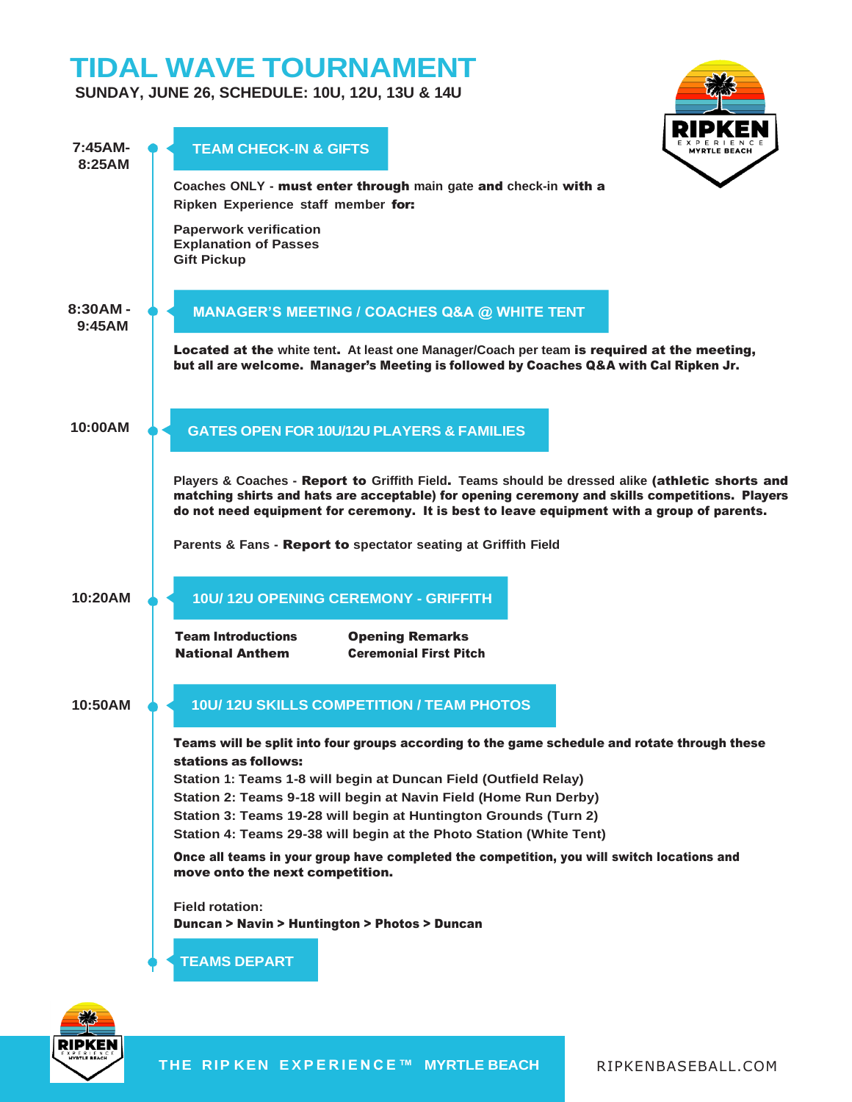# **TIDAL WAVE TOURNAMENT**

**SUNDAY, JUNE 26, SCHEDULE: 10U, 12U, 13U & 14U**





**THE RIP KEN E X P E R I E N C E ™ MYRTLE BEACH** RIPKENBASEBALL.COM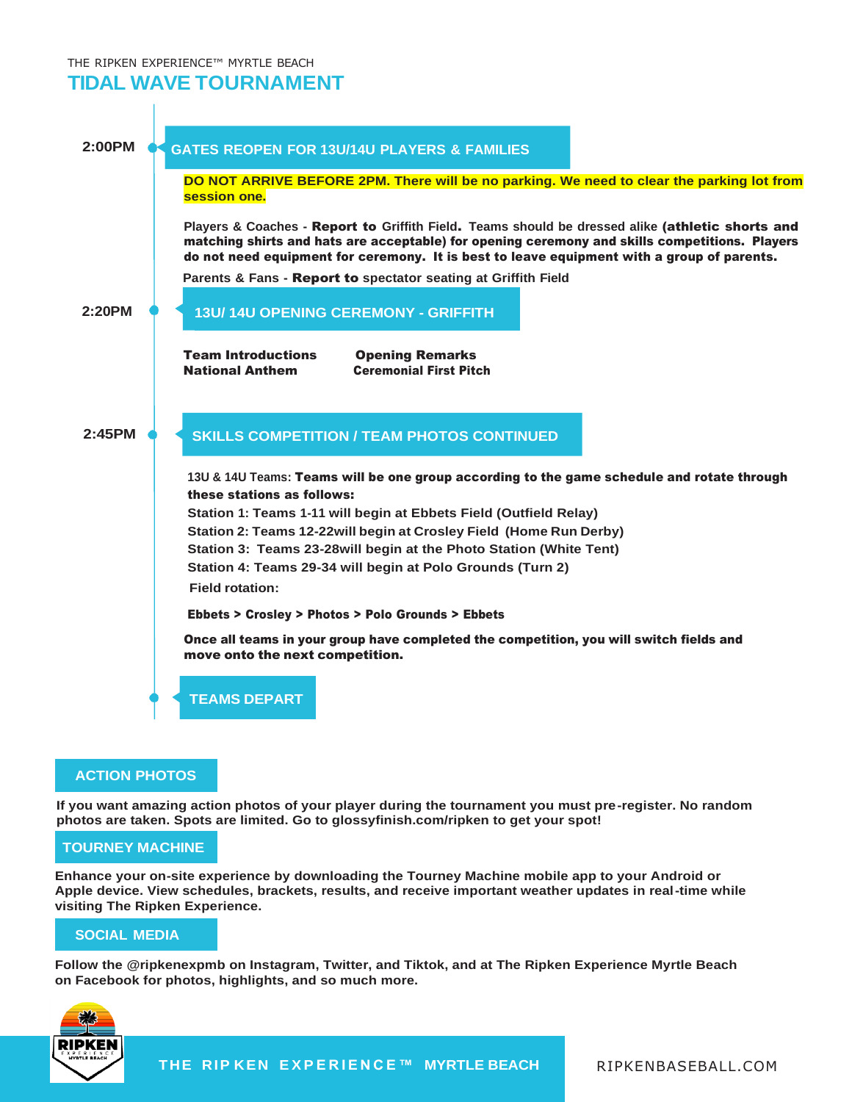## THE RIPKEN EXPERIENCE™ MYRTLE BEACH **TIDAL WAVE TOURNAMENT**



### **ACTION PHOTOS**

**If you want amazing action photos of your player during the tournament you must pre-register. No random photos are taken. Spots are limited. Go to glossyfinish.com/ripken to get your spot!**

## **TOURNEY MACHINE**

**Enhance your on-site experience by downloading the Tourney Machine mobile app to your Android or Apple device. View schedules, brackets, results, and receive important weather updates in real-time while visiting The Ripken Experience.**

### **SOCIAL MEDIA**

**Follow the @ripkenexpmb on Instagram, Twitter, and Tiktok, and at The Ripken Experience Myrtle Beach on Facebook for photos, highlights, and so much more.**



**THE RIP KEN E X P E R I E N C E ™ MYRTLE BEACH** RIPKENBASEBALL.COM